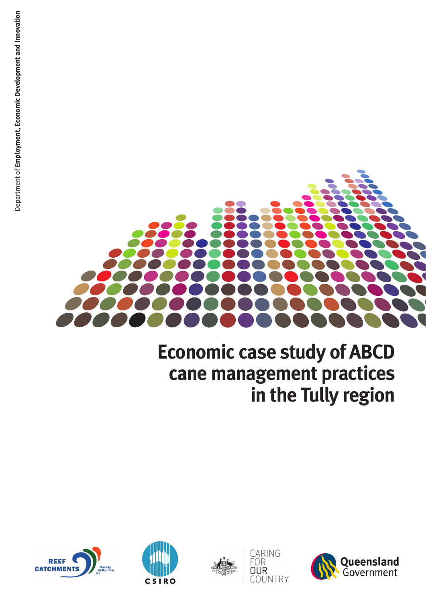

# **Economic case study of ABCD cane management practices in the Tully region**

CARING<br>FOR

COUNTRY

**OUR** 





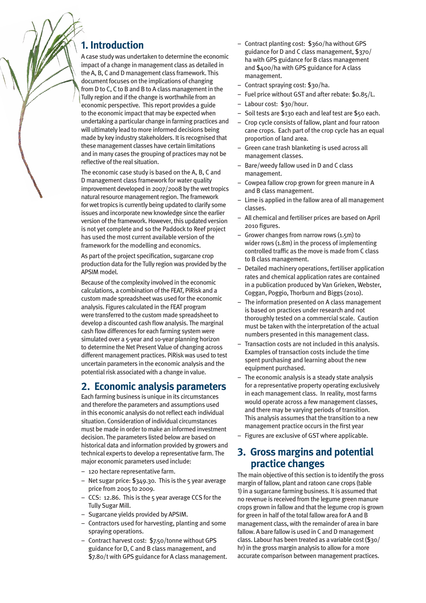## **1. Introduction**

A case study was undertaken to determine the economic impact of a change in management class as detailed in the A, B, C and D management class framework. This document focuses on the implications of changing from D to C, C to B and B to A class management in the Tully region and if the change is worthwhile from an economic perspective. This report provides a guide to the economic impact that may be expected when undertaking a particular change in farming practices and will ultimately lead to more informed decisions being made by key industry stakeholders. It is recognised that these management classes have certain limitations and in many cases the grouping of practices may not be reflective of the real situation.

The economic case study is based on the A, B, C and D management class framework for water quality improvement developed in 2007/2008 by the wet tropics natural resource management region. The framework for wet tropics is currently being updated to clarify some issues and incorporate new knowledge since the earlier version of the framework. However, this updated version is not yet complete and so the Paddock to Reef project has used the most current available version of the framework for the modelling and economics.

As part of the project specification, sugarcane crop production data for the Tully region was provided by the APSIM model.

Because of the complexity involved in the economic calculations, a combination of the FEAT, PiRisk and a custom made spreadsheet was used for the economic analysis. Figures calculated in the FEAT program were transferred to the custom made spreadsheet to develop a discounted cash flow analysis. The marginal cash flow differences for each farming system were simulated over a 5-year and 10-year planning horizon to determine the Net Present Value of changing across different management practices. PiRisk was used to test uncertain parameters in the economic analysis and the potential risk associated with a change in value.

# **2. Economic analysis parameters**

Each farming business is unique in its circumstances and therefore the parameters and assumptions used in this economic analysis do not reflect each individual situation. Consideration of individual circumstances must be made in order to make an informed investment decision. The parameters listed below are based on historical data and information provided by growers and technical experts to develop a representative farm. The major economic parameters used include:

- 120 hectare representative farm.
- Net sugar price: \$349.30. This is the 5 year average price from 2005 to 2009.
- CCS: 12.86. This is the 5 year average CCS for the Tully Sugar Mill.
- Sugarcane yields provided by APSIM.
- Contractors used for harvesting, planting and some spraying operations.
- Contract harvest cost: \$7.50/tonne without GPS guidance for D, C and B class management, and \$7.80/t with GPS guidance for A class management.
- Contract planting cost: \$360/ha without GPS guidance for D and C class management, \$370/ ha with GPS guidance for B class management and \$400/ha with GPS guidance for A class management.
- Contract spraying cost: \$30/ha.
- Fuel price without GST and after rebate: \$0.85/L.
- Labour cost: \$30/hour.
- Soil tests are \$130 each and leaf test are \$50 each.
- Crop cycle consists of fallow, plant and four ratoon cane crops. Each part of the crop cycle has an equal proportion of land area.
- Green cane trash blanketing is used across all management classes.
- Bare/weedy fallow used in D and C class management.
- Cowpea fallow crop grown for green manure in A and B class management.
- Lime is applied in the fallow area of all management classes.
- All chemical and fertiliser prices are based on April 2010 figures.
- Grower changes from narrow rows (1.5m) to wider rows (1.8m) in the process of implementing controlled traffic as the move is made from C class to B class management.
- Detailed machinery operations, fertiliser application rates and chemical application rates are contained in a publication produced by Van Grieken, Webster, Coggan, Poggio, Thorburn and Biggs (2010).
- The information presented on A class management is based on practices under research and not thoroughly tested on a commercial scale. Caution must be taken with the interpretation of the actual numbers presented in this management class.
- Transaction costs are not included in this analysis. Examples of transaction costs include the time spent purchasing and learning about the new equipment purchased.
- The economic analysis is a steady state analysis for a representative property operating exclusively in each management class. In reality, most farms would operate across a few management classes, and there may be varying periods of transition. This analysis assumes that the transition to a new management practice occurs in the first year
- Figures are exclusive of GST where applicable.

## **3. Gross margins and potential practice changes**

The main objective of this section is to identify the gross margin of fallow, plant and ratoon cane crops (table 1) in a sugarcane farming business. It is assumed that no revenue is received from the legume green manure crops grown in fallow and that the legume crop is grown for green in half of the total fallow area for A and B management class, with the remainder of area in bare fallow. A bare fallow is used in C and D management class. Labour has been treated as a variable cost (\$30/ hr) in the gross margin analysis to allow for a more accurate comparison between management practices.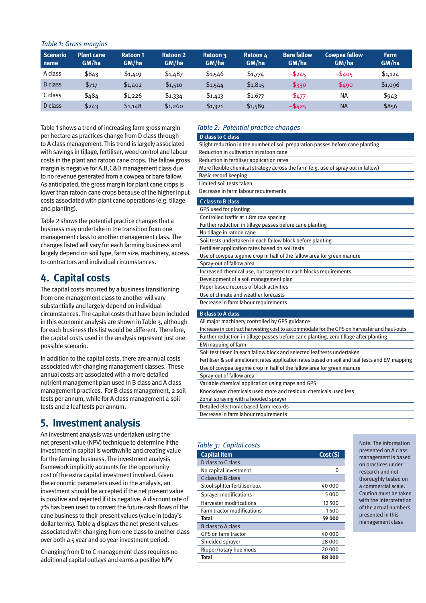### *Table 1: Gross margins*

| Scenario<br>name | <b>Plant cane</b><br>GM/ha | <b>Ratoon 1</b><br>GM/ha | <b>Ratoon 2</b><br>GM/ha | Ratoon 3<br>GM/ha | Ratoon 4<br>GM/ha | <b>Bare fallow</b><br>GM/ha | <b>Cowpea fallow</b><br>GM/ha | <b>Farm</b><br>GM/ha |
|------------------|----------------------------|--------------------------|--------------------------|-------------------|-------------------|-----------------------------|-------------------------------|----------------------|
| A class          | \$843                      | \$1,419                  | \$1,487                  | \$1,546           | \$1,774           | $-$ \$245                   | $-$ \$405                     | \$1,124              |
| <b>B</b> class   | \$717                      | \$1,402                  | \$1,510                  | \$1,544           | \$1,815           | $-$ \$330                   | $-$ \$490                     | \$1,096              |
| C class          | \$484                      | \$1,226                  | \$1,334                  | \$1,413           | \$1,677           | $-$ \$477                   | <b>NA</b>                     | \$943                |
| D class          | \$243                      | \$1,148                  | \$1,260                  | \$1,321           | \$1,589           | $-5425$                     | <b>NA</b>                     | \$856                |

Table 1 shows a trend of increasing farm gross margin per hectare as practices change from D class through to A class management. This trend is largely associated with savings in tillage, fertiliser, weed control and labour costs in the plant and ratoon cane crops. The fallow gross margin is negative for A,B,C&D management class due to no revenue generated from a cowpea or bare fallow. As anticipated, the gross margin for plant cane crops is lower than ratoon cane crops because of the higher input costs associated with plant cane operations (e.g. tillage and planting).

Table 2 shows the potential practice changes that a business may undertake in the transition from one management class to another management class. The changes listed will vary for each farming business and largely depend on soil type, farm size, machinery, access to contractors and individual circumstances.

# **4. Capital costs**

The capital costs incurred by a business transitioning from one management class to another will vary substantially and largely depend on individual circumstances. The capital costs that have been included in this economic analysis are shown in Table 3, although for each business this list would be different. Therefore, the capital costs used in the analysis represent just one possible scenario.

In addition to the capital costs, there are annual costs associated with changing management classes. These annual costs are associated with a more detailed nutrient management plan used in B class and A class management practices. For B class management, 2 soil tests per annum, while for A class management 4 soil tests and 2 leaf tests per annum.

# **5. Investment analysis**

An investment analysis was undertaken using the net present value (NPV) technique to determine if the investment in capital is worthwhile and creating value for the farming business. The investment analysis framework implicitly accounts for the opportunity cost of the extra capital investment involved. Given the economic parameters used in the analysis, an investment should be accepted if the net present value is positive and rejected if it is negative. A discount rate of 7% has been used to convert the future cash flows of the cane business to their present values (value in today's dollar terms). Table 4 displays the net present values associated with changing from one class to another class over both a 5 year and 10 year investment period.

Changing from D to C management class requires no additional capital outlays and earns a positive NPV

## *Table 2: Potential practice changes*

| <b>D</b> class to C class                                                                        |
|--------------------------------------------------------------------------------------------------|
| Slight reduction in the number of soil preparation passes before cane planting                   |
| Reduction in cultivation in ratoon cane                                                          |
| Reduction in fertiliser application rates                                                        |
| More flexible chemical strategy across the farm (e.g. use of spray out in fallow)                |
| <b>Basic record keeping</b>                                                                      |
| Limited soil tests taken                                                                         |
| Decrease in farm labour requirements                                                             |
| <b>C</b> class to B class                                                                        |
| <b>GPS used for planting</b>                                                                     |
| Controlled traffic at 1.8m row spacing                                                           |
| Further reduction in tillage passes before cane planting                                         |
| No tillage in ratoon cane                                                                        |
| Soil tests undertaken in each fallow block before planting                                       |
| Fertiliser application rates based on soil tests                                                 |
| Use of cowpea legume crop in half of the fallow area for green manure                            |
| Spray-out of fallow area                                                                         |
| Increased chemical use, but targeted to each blocks requirements                                 |
| Development of a soil management plan                                                            |
| Paper based records of block activities                                                          |
| Use of climate and weather forecasts                                                             |
| Decrease in farm labour requirements                                                             |
| <b>B</b> class to A class                                                                        |
| All major machinery controlled by GPS guidance                                                   |
| Increase in contract harvesting cost to accommodate for the GPS on harvester and haul-outs       |
| Further reduction in tillage passes before cane planting, zero tillage after planting.           |
| EM mapping of farm                                                                               |
| Soil test taken in each fallow block and selected leaf tests undertaken                          |
| Fertiliser & soil ameliorant rates application rates based on soil and leaf tests and EM mapping |
| Use of cowpea legume crop in half of the fallow area for green manure                            |
| Spray-out of fallow area                                                                         |
| Variable chemical application using maps and GPS                                                 |

Knockdown chemicals used more and residual chemicals used less

- Zonal spraying with a hooded sprayer
- Detailed electronic based farm records

Decrease in farm labour requirements

| Table 3: Capital costs            |          |  |  |  |
|-----------------------------------|----------|--|--|--|
| <b>Capital item</b>               | Cost (S) |  |  |  |
| D class to C class                |          |  |  |  |
| No capital investment             | O        |  |  |  |
| C class to B class                |          |  |  |  |
| Stool splitter fertiliser box     | 40 000   |  |  |  |
| <b>Sprayer modifications</b>      | 5000     |  |  |  |
| <b>Harvester modifications</b>    | 12 500   |  |  |  |
| <b>Farm tractor modifications</b> | 1500     |  |  |  |
| Total                             | 59 000   |  |  |  |
| <b>B</b> class to A class         |          |  |  |  |
| <b>GPS on farm tractor</b>        | 40 000   |  |  |  |
| Shielded sprayer                  | 28 000   |  |  |  |
| Ripper/rotary hoe mods            | 20 000   |  |  |  |
| Total                             | 88000    |  |  |  |

Note: The information presented on A class management is based on practices under research and not thoroughly tested on a commercial scale. Caution must be taken with the interpretation of the actual numbers presented in this management class